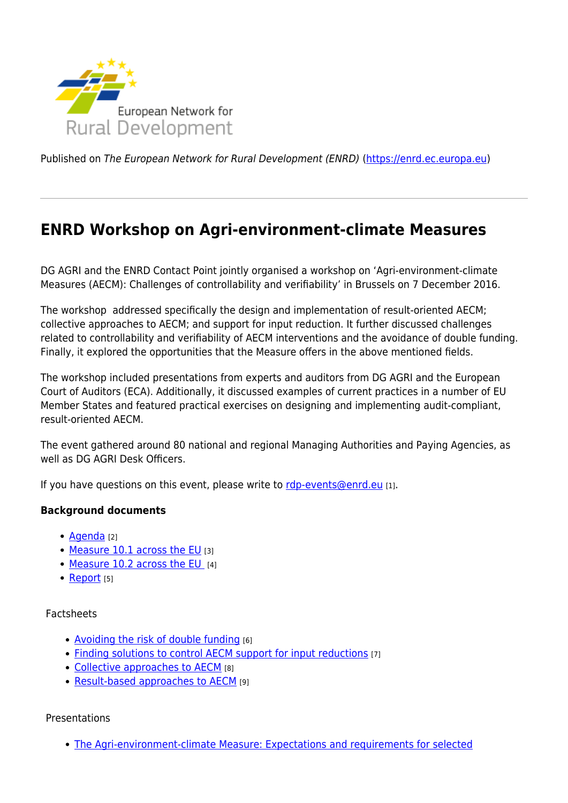

Published on The European Network for Rural Development (ENRD) [\(https://enrd.ec.europa.eu](https://enrd.ec.europa.eu))

# **ENRD Workshop on Agri-environment-climate Measures**

DG AGRI and the ENRD Contact Point jointly organised a workshop on 'Agri-environment-climate Measures (AECM): Challenges of controllability and verifiability' in Brussels on 7 December 2016.

The workshop addressed specifically the design and implementation of result-oriented AECM; collective approaches to AECM; and support for input reduction. It further discussed challenges related to controllability and verifiability of AECM interventions and the avoidance of double funding. Finally, it explored the opportunities that the Measure offers in the above mentioned fields.

The workshop included presentations from experts and auditors from DG AGRI and the European Court of Auditors (ECA). Additionally, it discussed examples of current practices in a number of EU Member States and featured practical exercises on designing and implementing audit-compliant, result-oriented AECM.

The event gathered around 80 national and regional Managing Authorities and Paying Agencies, as well as DG AGRI Desk Officers.

If you have questions on this event, please write to [rdp-events@enrd.eu](mailto:rdp-events@enrd.eu) [1].

### **Background documents**

- [Agenda](http://enrd.ec.europa.eu/sites/default/files/w12_aecm_final-agenda.pdf) [2]
- [Measure 10.1 across the EU](https://enrd.ec.europa.eu/sites/default/files/rdp_analysis_m10-1.pdf) [3]
- [Measure 10.2 across the EU](https://enrd.ec.europa.eu/sites/default/files/rdp_analysis_m10-2.pdf) [4]
- [Report](http://enrd.ec.europa.eu/sites/default/files/w12_aecm_report.pdf) [5]

### Factsheets

- [Avoiding the risk of double funding](http://enrd.ec.europa.eu/sites/default/files/w12_aecm_factsheet_double-funding.pdf) [6]
- [Finding solutions to control AECM support for input reductions](http://enrd.ec.europa.eu/sites/default/files/w12_aecm_factsheet_input-reductions.pdf) [7]
- [Collective approaches to AECM](http://enrd.ec.europa.eu/sites/default/files/w12_aecm_factsheet_collective-approaches.pdf) [8]
- [Result-based approaches to AECM](http://enrd.ec.europa.eu/sites/default/files/w12_aecm_factsheet_result-based-approaches.pdf) [9]

### Presentations

[The Agri-environment-climate Measure: Expectations and requirements for selected](http://enrd.ec.europa.eu/sites/default/files/w12_measure10_sulima.pdf)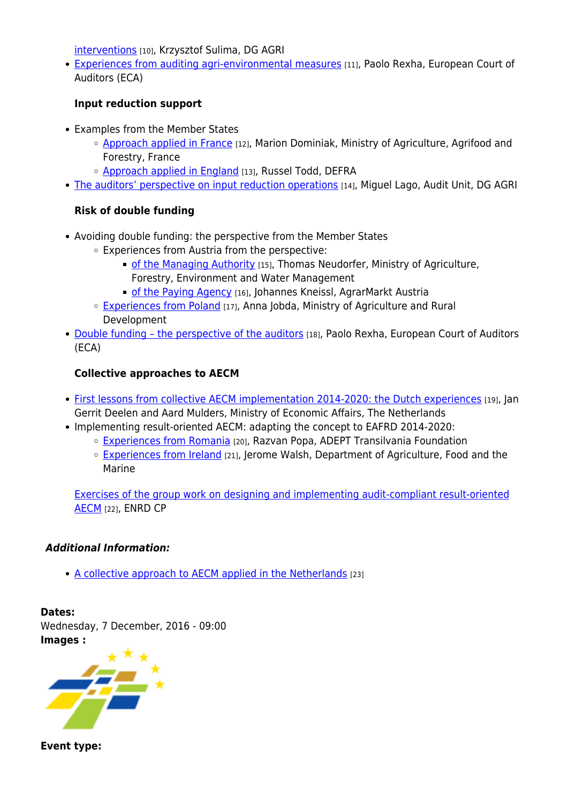[interventions](http://enrd.ec.europa.eu/sites/default/files/w12_measure10_sulima.pdf) [10], Krzysztof Sulima, DG AGRI

[Experiences from auditing agri-environmental measures](http://enrd.ec.europa.eu/sites/default/files/w12_auditing_aem_rexha.pdf) [11], Paolo Rexha, European Court of Auditors (ECA)

# **Input reduction support**

- Examples from the Member States
	- $\circ$  [Approach applied in France](http://enrd.ec.europa.eu/sites/default/files/w12_inputreduction_fr_dominiak.pdf) [12], Marion Dominiak, Ministry of Agriculture, Agrifood and Forestry, France
	- o [Approach applied in England](http://enrd.ec.europa.eu/sites/default/files/w12_inputreduction_england_todd.pdf) [13], Russel Todd, DEFRA
- [The auditors' perspective on input reduction operations](http://enrd.ec.europa.eu/sites/default/files/w12_inputreduction_audit_lago.pdf) [14], Miquel Lago, Audit Unit, DG AGRI

# **Risk of double funding**

- Avoiding double funding: the perspective from the Member States
	- Experiences from Austria from the perspective:
		- **[of the Managing Authority](http://enrd.ec.europa.eu/sites/default/files/ws12_doublefunding_at_ma_neudorfer.pdf)** [15], Thomas Neudorfer, Ministry of Agriculture, Forestry, Environment and Water Management
		- [of the Paying Agency](http://enrd.ec.europa.eu/sites/default/files/w12_doublefunding_at_pa_kneissl.pdf) [16], Johannes Kneissl, AgrarMarkt Austria
	- [Experiences from Poland](http://enrd.ec.europa.eu/sites/default/files/w12_doublefunding_pl_jobda.pdf) [17], Anna Jobda, Ministry of Agriculture and Rural Development
- Double funding the perspective of the auditors [18], Paolo Rexha, European Court of Auditors (ECA)

# **Collective approaches to AECM**

- [First lessons from collective AECM implementation 2014-2020: the Dutch experiences](http://enrd.ec.europa.eu/sites/default/files/ws12_collectiveapproach_nl_deelen-mulders.pdf) [19], Jan Gerrit Deelen and Aard Mulders, Ministry of Economic Affairs, The Netherlands
- Implementing result-oriented AECM: adapting the concept to EAFRD 2014-2020:
	- [Experiences from Romania](http://enrd.ec.europa.eu/sites/default/files/w12_resultbased_ro_popa.pdf) [20], Razvan Popa, ADEPT Transilvania Foundation
	- [Experiences from Ireland](http://enrd.ec.europa.eu/sites/default/files/ws12_resultbased_ie_walsh.pdf) [21], Jerome Walsh, Department of Agriculture, Food and the Marine

[Exercises of the group work on designing and implementing audit-compliant result-oriented](http://enrd.ec.europa.eu/sites/default/files/w12_group_work_enrdcp.pdf) [AECM](http://enrd.ec.europa.eu/sites/default/files/w12_group_work_enrdcp.pdf) [22], ENRD CP

### *Additional Information:*

• [A collective approach to AECM applied in the Netherlands](http://enrd.ec.europa.eu/sites/default/files/w12_collective-approach_nl.pdf) [23]

**Dates:**  Wednesday, 7 December, 2016 - 09:00 **Images :** 



**Event type:**